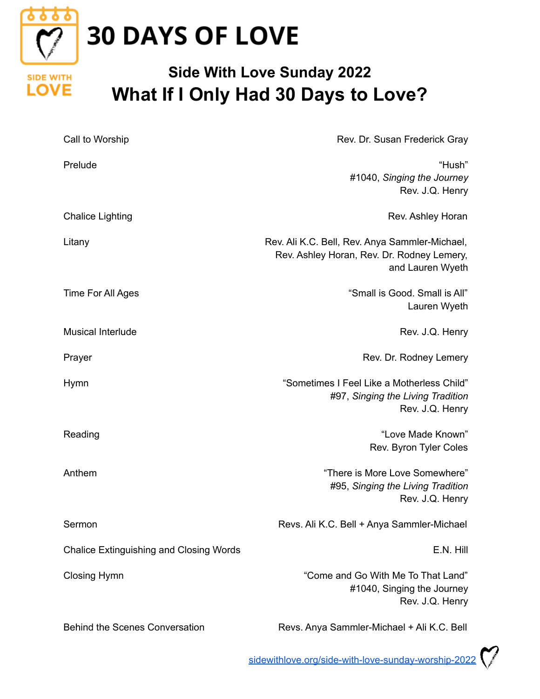

## **30 DAYS OF LOVE**

**SIDE WITH LOVE** 

## **Side With Love Sunday 2022 What If I Only Had 30 Days to Love?**

| Call to Worship                                | Rev. Dr. Susan Frederick Gray                                                                                    |
|------------------------------------------------|------------------------------------------------------------------------------------------------------------------|
| Prelude                                        | "Hush"<br>#1040, Singing the Journey<br>Rev. J.Q. Henry                                                          |
| <b>Chalice Lighting</b>                        | Rev. Ashley Horan                                                                                                |
| Litany                                         | Rev. Ali K.C. Bell, Rev. Anya Sammler-Michael,<br>Rev. Ashley Horan, Rev. Dr. Rodney Lemery,<br>and Lauren Wyeth |
| Time For All Ages                              | "Small is Good. Small is All"<br>Lauren Wyeth                                                                    |
| <b>Musical Interlude</b>                       | Rev. J.Q. Henry                                                                                                  |
| Prayer                                         | Rev. Dr. Rodney Lemery                                                                                           |
| <b>Hymn</b>                                    | "Sometimes I Feel Like a Motherless Child"<br>#97, Singing the Living Tradition<br>Rev. J.Q. Henry               |
| Reading                                        | "Love Made Known"<br>Rev. Byron Tyler Coles                                                                      |
| Anthem                                         | "There is More Love Somewhere"<br>#95, Singing the Living Tradition<br>Rev. J.Q. Henry                           |
| Sermon                                         | Revs. Ali K.C. Bell + Anya Sammler-Michael                                                                       |
| <b>Chalice Extinguishing and Closing Words</b> | E.N. Hill                                                                                                        |
| <b>Closing Hymn</b>                            | "Come and Go With Me To That Land"<br>#1040, Singing the Journey<br>Rev. J.Q. Henry                              |
| <b>Behind the Scenes Conversation</b>          | Revs. Anya Sammler-Michael + Ali K.C. Bell                                                                       |

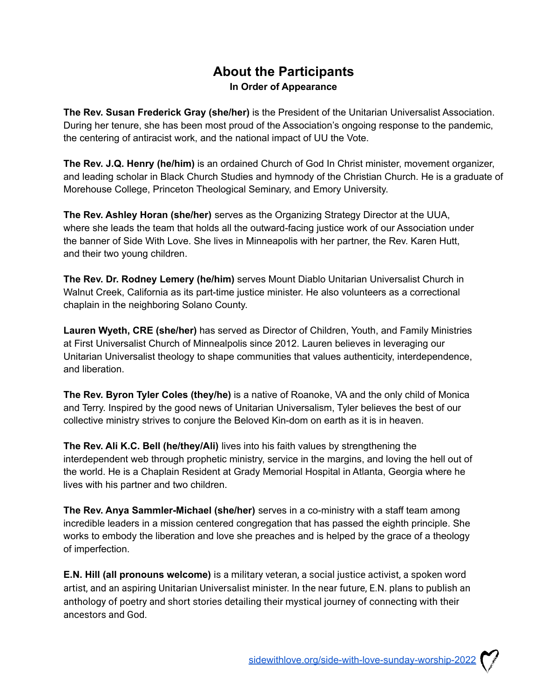## **About the Participants In Order of Appearance**

**The Rev. Susan Frederick Gray (she/her)** is the President of the Unitarian Universalist Association. During her tenure, she has been most proud of the Association's ongoing response to the pandemic, the centering of antiracist work, and the national impact of UU the Vote.

**The Rev. J.Q. Henry (he/him)** is an ordained Church of God In Christ minister, movement organizer, and leading scholar in Black Church Studies and hymnody of the Christian Church. He is a graduate of Morehouse College, Princeton Theological Seminary, and Emory University.

**The Rev. Ashley Horan (she/her)** serves as the Organizing Strategy Director at the UUA, where she leads the team that holds all the outward-facing justice work of our Association under the banner of Side With Love. She lives in Minneapolis with her partner, the Rev. Karen Hutt, and their two young children.

**The Rev. Dr. Rodney Lemery (he/him)** serves Mount Diablo Unitarian Universalist Church in Walnut Creek, California as its part-time justice minister. He also volunteers as a correctional chaplain in the neighboring Solano County.

**Lauren Wyeth, CRE (she/her)** has served as Director of Children, Youth, and Family Ministries at First Universalist Church of Minnealpolis since 2012. Lauren believes in leveraging our Unitarian Universalist theology to shape communities that values authenticity, interdependence, and liberation.

**The Rev. Byron Tyler Coles (they/he)** is a native of Roanoke, VA and the only child of Monica and Terry. Inspired by the good news of Unitarian Universalism, Tyler believes the best of our collective ministry strives to conjure the Beloved Kin-dom on earth as it is in heaven.

**The Rev. Ali K.C. Bell (he/they/Ali)** lives into his faith values by strengthening the interdependent web through prophetic ministry, service in the margins, and loving the hell out of the world. He is a Chaplain Resident at Grady Memorial Hospital in Atlanta, Georgia where he lives with his partner and two children.

**The Rev. Anya Sammler-Michael (she/her)** serves in a co-ministry with a staff team among incredible leaders in a mission centered congregation that has passed the eighth principle. She works to embody the liberation and love she preaches and is helped by the grace of a theology of imperfection.

**E.N. Hill (all pronouns welcome)** is a military veteran, a social justice activist, a spoken word artist, and an aspiring Unitarian Universalist minister. In the near future, E.N. plans to publish an anthology of poetry and short stories detailing their mystical journey of connecting with their ancestors and God.